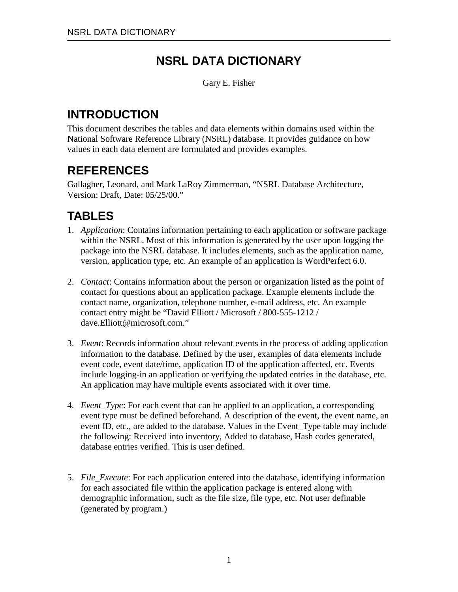## **NSRL DATA DICTIONARY**

Gary E. Fisher

## **INTRODUCTION**

This document describes the tables and data elements within domains used within the National Software Reference Library (NSRL) database. It provides guidance on how values in each data element are formulated and provides examples.

## **REFERENCES**

Gallagher, Leonard, and Mark LaRoy Zimmerman, "NSRL Database Architecture, Version: Draft, Date: 05/25/00."

# **TABLES**

- 1. *Application*: Contains information pertaining to each application or software package within the NSRL. Most of this information is generated by the user upon logging the package into the NSRL database. It includes elements, such as the application name, version, application type, etc. An example of an application is WordPerfect 6.0.
- 2. *Contact*: Contains information about the person or organization listed as the point of contact for questions about an application package. Example elements include the contact name, organization, telephone number, e-mail address, etc. An example contact entry might be "David Elliott / Microsoft / 800-555-1212 / dave.Elliott@microsoft.com."
- 3. *Event*: Records information about relevant events in the process of adding application information to the database. Defined by the user, examples of data elements include event code, event date/time, application ID of the application affected, etc. Events include logging-in an application or verifying the updated entries in the database, etc. An application may have multiple events associated with it over time.
- 4. *Event\_Type*: For each event that can be applied to an application, a corresponding event type must be defined beforehand. A description of the event, the event name, an event ID, etc., are added to the database. Values in the Event\_Type table may include the following: Received into inventory, Added to database, Hash codes generated, database entries verified. This is user defined.
- 5. *File\_Execute*: For each application entered into the database, identifying information for each associated file within the application package is entered along with demographic information, such as the file size, file type, etc. Not user definable (generated by program.)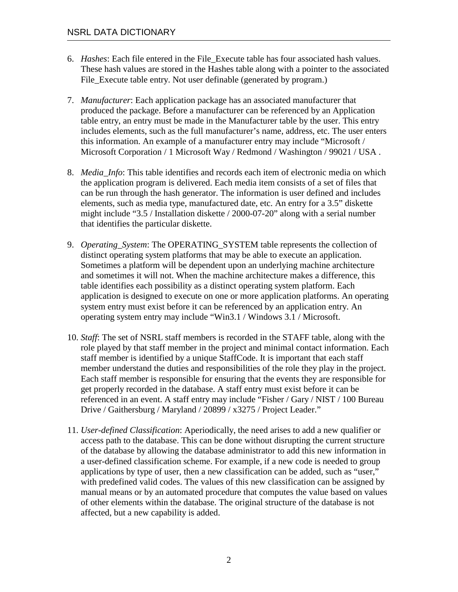- 6. *Hashes*: Each file entered in the File\_Execute table has four associated hash values. These hash values are stored in the Hashes table along with a pointer to the associated File Execute table entry. Not user definable (generated by program.)
- 7. *Manufacturer*: Each application package has an associated manufacturer that produced the package. Before a manufacturer can be referenced by an Application table entry, an entry must be made in the Manufacturer table by the user. This entry includes elements, such as the full manufacturer's name, address, etc. The user enters this information. An example of a manufacturer entry may include "Microsoft / Microsoft Corporation / 1 Microsoft Way / Redmond / Washington / 99021 / USA .
- 8. *Media\_Info*: This table identifies and records each item of electronic media on which the application program is delivered. Each media item consists of a set of files that can be run through the hash generator. The information is user defined and includes elements, such as media type, manufactured date, etc. An entry for a 3.5" diskette might include "3.5 / Installation diskette / 2000-07-20" along with a serial number that identifies the particular diskette.
- 9. *Operating\_System*: The OPERATING\_SYSTEM table represents the collection of distinct operating system platforms that may be able to execute an application. Sometimes a platform will be dependent upon an underlying machine architecture and sometimes it will not. When the machine architecture makes a difference, this table identifies each possibility as a distinct operating system platform. Each application is designed to execute on one or more application platforms. An operating system entry must exist before it can be referenced by an application entry. An operating system entry may include "Win3.1 / Windows 3.1 / Microsoft.
- 10. *Staff*: The set of NSRL staff members is recorded in the STAFF table, along with the role played by that staff member in the project and minimal contact information. Each staff member is identified by a unique StaffCode. It is important that each staff member understand the duties and responsibilities of the role they play in the project. Each staff member is responsible for ensuring that the events they are responsible for get properly recorded in the database. A staff entry must exist before it can be referenced in an event. A staff entry may include "Fisher / Gary / NIST / 100 Bureau Drive / Gaithersburg / Maryland / 20899 / x3275 / Project Leader."
- 11. *User-defined Classification*: Aperiodically, the need arises to add a new qualifier or access path to the database. This can be done without disrupting the current structure of the database by allowing the database administrator to add this new information in a user-defined classification scheme. For example, if a new code is needed to group applications by type of user, then a new classification can be added, such as "user," with predefined valid codes. The values of this new classification can be assigned by manual means or by an automated procedure that computes the value based on values of other elements within the database. The original structure of the database is not affected, but a new capability is added.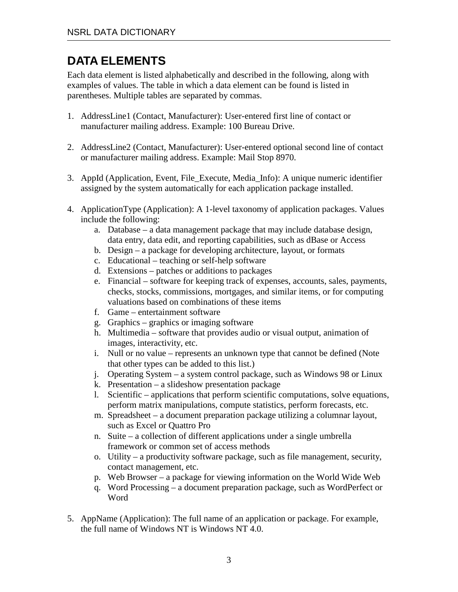### **DATA ELEMENTS**

Each data element is listed alphabetically and described in the following, along with examples of values. The table in which a data element can be found is listed in parentheses. Multiple tables are separated by commas.

- 1. AddressLine1 (Contact, Manufacturer): User-entered first line of contact or manufacturer mailing address. Example: 100 Bureau Drive.
- 2. AddressLine2 (Contact, Manufacturer): User-entered optional second line of contact or manufacturer mailing address. Example: Mail Stop 8970.
- 3. AppId (Application, Event, File\_Execute, Media\_Info): A unique numeric identifier assigned by the system automatically for each application package installed.
- 4. ApplicationType (Application): A 1-level taxonomy of application packages. Values include the following:
	- a. Database a data management package that may include database design, data entry, data edit, and reporting capabilities, such as dBase or Access
	- b. Design a package for developing architecture, layout, or formats
	- c. Educational teaching or self-help software
	- d. Extensions patches or additions to packages
	- e. Financial software for keeping track of expenses, accounts, sales, payments, checks, stocks, commissions, mortgages, and similar items, or for computing valuations based on combinations of these items
	- f. Game entertainment software
	- g. Graphics graphics or imaging software
	- h. Multimedia software that provides audio or visual output, animation of images, interactivity, etc.
	- i. Null or no value represents an unknown type that cannot be defined (Note that other types can be added to this list.)
	- j. Operating System a system control package, such as Windows 98 or Linux
	- k. Presentation a slideshow presentation package
	- l. Scientific applications that perform scientific computations, solve equations, perform matrix manipulations, compute statistics, perform forecasts, etc.
	- m. Spreadsheet a document preparation package utilizing a columnar layout, such as Excel or Quattro Pro
	- n. Suite a collection of different applications under a single umbrella framework or common set of access methods
	- o. Utility a productivity software package, such as file management, security, contact management, etc.
	- p. Web Browser a package for viewing information on the World Wide Web
	- q. Word Processing a document preparation package, such as WordPerfect or Word
- 5. AppName (Application): The full name of an application or package. For example, the full name of Windows NT is Windows NT 4.0.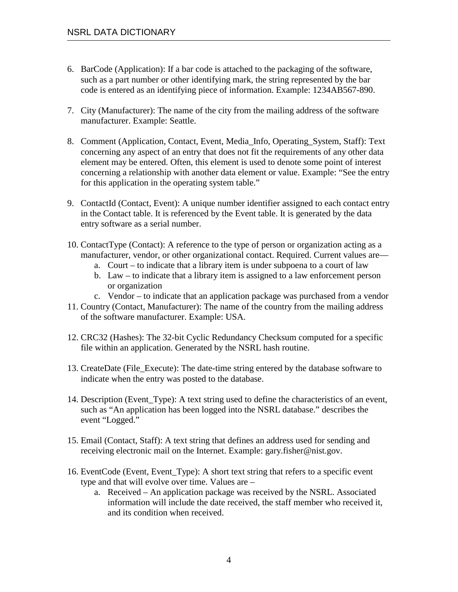- 6. BarCode (Application): If a bar code is attached to the packaging of the software, such as a part number or other identifying mark, the string represented by the bar code is entered as an identifying piece of information. Example: 1234AB567-890.
- 7. City (Manufacturer): The name of the city from the mailing address of the software manufacturer. Example: Seattle.
- 8. Comment (Application, Contact, Event, Media\_Info, Operating\_System, Staff): Text concerning any aspect of an entry that does not fit the requirements of any other data element may be entered. Often, this element is used to denote some point of interest concerning a relationship with another data element or value. Example: "See the entry for this application in the operating system table."
- 9. ContactId (Contact, Event): A unique number identifier assigned to each contact entry in the Contact table. It is referenced by the Event table. It is generated by the data entry software as a serial number.
- 10. ContactType (Contact): A reference to the type of person or organization acting as a manufacturer, vendor, or other organizational contact. Required. Current values are
	- a. Court to indicate that a library item is under subpoena to a court of law
	- b. Law to indicate that a library item is assigned to a law enforcement person or organization
	- c. Vendor to indicate that an application package was purchased from a vendor
- 11. Country (Contact, Manufacturer): The name of the country from the mailing address of the software manufacturer. Example: USA.
- 12. CRC32 (Hashes): The 32-bit Cyclic Redundancy Checksum computed for a specific file within an application. Generated by the NSRL hash routine.
- 13. CreateDate (File\_Execute): The date-time string entered by the database software to indicate when the entry was posted to the database.
- 14. Description (Event\_Type): A text string used to define the characteristics of an event, such as "An application has been logged into the NSRL database." describes the event "Logged."
- 15. Email (Contact, Staff): A text string that defines an address used for sending and receiving electronic mail on the Internet. Example: gary.fisher@nist.gov.
- 16. EventCode (Event, Event\_Type): A short text string that refers to a specific event type and that will evolve over time. Values are –
	- a. Received An application package was received by the NSRL. Associated information will include the date received, the staff member who received it, and its condition when received.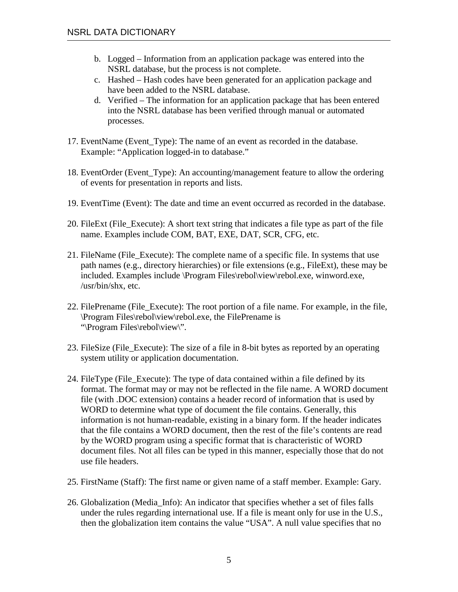- b. Logged Information from an application package was entered into the NSRL database, but the process is not complete.
- c. Hashed Hash codes have been generated for an application package and have been added to the NSRL database.
- d. Verified The information for an application package that has been entered into the NSRL database has been verified through manual or automated processes.
- 17. EventName (Event\_Type): The name of an event as recorded in the database. Example: "Application logged-in to database."
- 18. EventOrder (Event\_Type): An accounting/management feature to allow the ordering of events for presentation in reports and lists.
- 19. EventTime (Event): The date and time an event occurred as recorded in the database.
- 20. FileExt (File\_Execute): A short text string that indicates a file type as part of the file name. Examples include COM, BAT, EXE, DAT, SCR, CFG, etc.
- 21. FileName (File\_Execute): The complete name of a specific file. In systems that use path names (e.g., directory hierarchies) or file extensions (e.g., FileExt), these may be included. Examples include \Program Files\rebol\view\rebol.exe, winword.exe, /usr/bin/shx, etc.
- 22. FilePrename (File\_Execute): The root portion of a file name. For example, in the file, \Program Files\rebol\view\rebol.exe, the FilePrename is "\Program Files\rebol\view\".
- 23. FileSize (File\_Execute): The size of a file in 8-bit bytes as reported by an operating system utility or application documentation.
- 24. FileType (File\_Execute): The type of data contained within a file defined by its format. The format may or may not be reflected in the file name. A WORD document file (with .DOC extension) contains a header record of information that is used by WORD to determine what type of document the file contains. Generally, this information is not human-readable, existing in a binary form. If the header indicates that the file contains a WORD document, then the rest of the file's contents are read by the WORD program using a specific format that is characteristic of WORD document files. Not all files can be typed in this manner, especially those that do not use file headers.
- 25. FirstName (Staff): The first name or given name of a staff member. Example: Gary.
- 26. Globalization (Media\_Info): An indicator that specifies whether a set of files falls under the rules regarding international use. If a file is meant only for use in the U.S., then the globalization item contains the value "USA". A null value specifies that no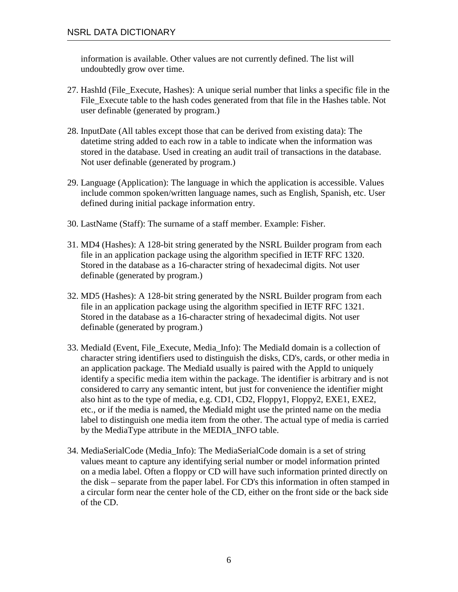information is available. Other values are not currently defined. The list will undoubtedly grow over time.

- 27. HashId (File\_Execute, Hashes): A unique serial number that links a specific file in the File Execute table to the hash codes generated from that file in the Hashes table. Not user definable (generated by program.)
- 28. InputDate (All tables except those that can be derived from existing data): The datetime string added to each row in a table to indicate when the information was stored in the database. Used in creating an audit trail of transactions in the database. Not user definable (generated by program.)
- 29. Language (Application): The language in which the application is accessible. Values include common spoken/written language names, such as English, Spanish, etc. User defined during initial package information entry.
- 30. LastName (Staff): The surname of a staff member. Example: Fisher.
- 31. MD4 (Hashes): A 128-bit string generated by the NSRL Builder program from each file in an application package using the algorithm specified in IETF RFC 1320. Stored in the database as a 16-character string of hexadecimal digits. Not user definable (generated by program.)
- 32. MD5 (Hashes): A 128-bit string generated by the NSRL Builder program from each file in an application package using the algorithm specified in IETF RFC 1321. Stored in the database as a 16-character string of hexadecimal digits. Not user definable (generated by program.)
- 33. MediaId (Event, File\_Execute, Media\_Info): The MediaId domain is a collection of character string identifiers used to distinguish the disks, CD's, cards, or other media in an application package. The MediaId usually is paired with the AppId to uniquely identify a specific media item within the package. The identifier is arbitrary and is not considered to carry any semantic intent, but just for convenience the identifier might also hint as to the type of media, e.g. CD1, CD2, Floppy1, Floppy2, EXE1, EXE2, etc., or if the media is named, the MediaId might use the printed name on the media label to distinguish one media item from the other. The actual type of media is carried by the MediaType attribute in the MEDIA\_INFO table.
- 34. MediaSerialCode (Media\_Info): The MediaSerialCode domain is a set of string values meant to capture any identifying serial number or model information printed on a media label. Often a floppy or CD will have such information printed directly on the disk – separate from the paper label. For CD's this information in often stamped in a circular form near the center hole of the CD, either on the front side or the back side of the CD.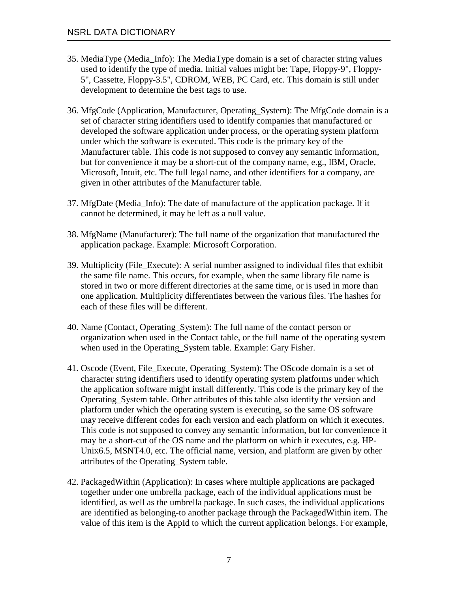- 35. MediaType (Media\_Info): The MediaType domain is a set of character string values used to identify the type of media. Initial values might be: Tape, Floppy-9", Floppy-5", Cassette, Floppy-3.5", CDROM, WEB, PC Card, etc. This domain is still under development to determine the best tags to use.
- 36. MfgCode (Application, Manufacturer, Operating\_System): The MfgCode domain is a set of character string identifiers used to identify companies that manufactured or developed the software application under process, or the operating system platform under which the software is executed. This code is the primary key of the Manufacturer table. This code is not supposed to convey any semantic information, but for convenience it may be a short-cut of the company name, e.g., IBM, Oracle, Microsoft, Intuit, etc. The full legal name, and other identifiers for a company, are given in other attributes of the Manufacturer table.
- 37. MfgDate (Media\_Info): The date of manufacture of the application package. If it cannot be determined, it may be left as a null value.
- 38. MfgName (Manufacturer): The full name of the organization that manufactured the application package. Example: Microsoft Corporation.
- 39. Multiplicity (File\_Execute): A serial number assigned to individual files that exhibit the same file name. This occurs, for example, when the same library file name is stored in two or more different directories at the same time, or is used in more than one application. Multiplicity differentiates between the various files. The hashes for each of these files will be different.
- 40. Name (Contact, Operating\_System): The full name of the contact person or organization when used in the Contact table, or the full name of the operating system when used in the Operating\_System table. Example: Gary Fisher.
- 41. Oscode (Event, File\_Execute, Operating\_System): The OScode domain is a set of character string identifiers used to identify operating system platforms under which the application software might install differently. This code is the primary key of the Operating\_System table. Other attributes of this table also identify the version and platform under which the operating system is executing, so the same OS software may receive different codes for each version and each platform on which it executes. This code is not supposed to convey any semantic information, but for convenience it may be a short-cut of the OS name and the platform on which it executes, e.g. HP-Unix6.5, MSNT4.0, etc. The official name, version, and platform are given by other attributes of the Operating\_System table.
- 42. PackagedWithin (Application): In cases where multiple applications are packaged together under one umbrella package, each of the individual applications must be identified, as well as the umbrella package. In such cases, the individual applications are identified as belonging-to another package through the PackagedWithin item. The value of this item is the AppId to which the current application belongs. For example,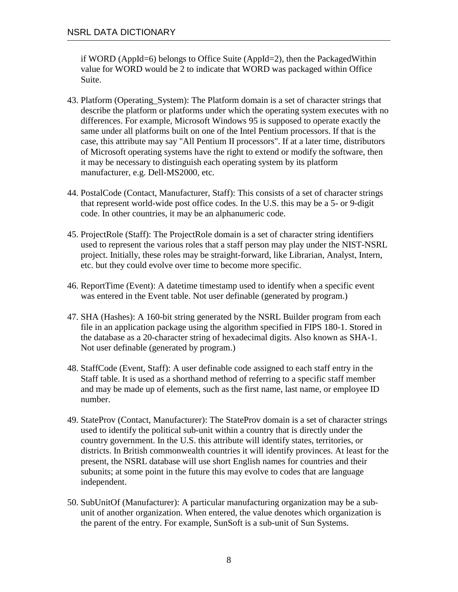if WORD (AppId=6) belongs to Office Suite (AppId=2), then the PackagedWithin value for WORD would be 2 to indicate that WORD was packaged within Office Suite.

- 43. Platform (Operating\_System): The Platform domain is a set of character strings that describe the platform or platforms under which the operating system executes with no differences. For example, Microsoft Windows 95 is supposed to operate exactly the same under all platforms built on one of the Intel Pentium processors. If that is the case, this attribute may say "All Pentium II processors". If at a later time, distributors of Microsoft operating systems have the right to extend or modify the software, then it may be necessary to distinguish each operating system by its platform manufacturer, e.g. Dell-MS2000, etc.
- 44. PostalCode (Contact, Manufacturer, Staff): This consists of a set of character strings that represent world-wide post office codes. In the U.S. this may be a 5- or 9-digit code. In other countries, it may be an alphanumeric code.
- 45. ProjectRole (Staff): The ProjectRole domain is a set of character string identifiers used to represent the various roles that a staff person may play under the NIST-NSRL project. Initially, these roles may be straight-forward, like Librarian, Analyst, Intern, etc. but they could evolve over time to become more specific.
- 46. ReportTime (Event): A datetime timestamp used to identify when a specific event was entered in the Event table. Not user definable (generated by program.)
- 47. SHA (Hashes): A 160-bit string generated by the NSRL Builder program from each file in an application package using the algorithm specified in FIPS 180-1. Stored in the database as a 20-character string of hexadecimal digits. Also known as SHA-1. Not user definable (generated by program.)
- 48. StaffCode (Event, Staff): A user definable code assigned to each staff entry in the Staff table. It is used as a shorthand method of referring to a specific staff member and may be made up of elements, such as the first name, last name, or employee ID number.
- 49. StateProv (Contact, Manufacturer): The StateProv domain is a set of character strings used to identify the political sub-unit within a country that is directly under the country government. In the U.S. this attribute will identify states, territories, or districts. In British commonwealth countries it will identify provinces. At least for the present, the NSRL database will use short English names for countries and their subunits; at some point in the future this may evolve to codes that are language independent.
- 50. SubUnitOf (Manufacturer): A particular manufacturing organization may be a subunit of another organization. When entered, the value denotes which organization is the parent of the entry. For example, SunSoft is a sub-unit of Sun Systems.